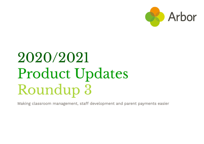

# 2020/2021 Product Updates Roundup 3

Making classroom management, staff development and parent payments easier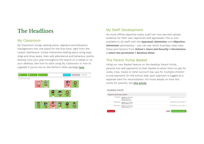## The Headlines

## My Classroom

My Classroom brings seating plans, registers and behaviour management into one place for the first time, right from the Lesson Dashboard. Create interactive seating plans using easy drag-and-drop seats, then add attendance and behaviour points directly onto your plan throughout the lesson on a tablet or on your desktop. See how to start using My Classroom or how to upgrade if you're not on the Perform 2020 package [here](https://support.arbor-education.com/hc/en-us/articles/360012179858-My-Classroom-our-brand-new-all-in-one-classroom-management-tool).



## My Staff Development

No more offline objective notes, staff can now see and upload evidence for their own objectives and appraisals! This is now available to all staff with the **Appraisal: Administer** and **Objective: Administer** permissions - you can see which business roles have these permissions from *School > Users and Security > Permissions > select the permission > Business Roles*.

## The Parent Portal Basket

Using our new Basket feature on the desktop Parent Portal, parents can add payments to their basket to allow them to pay for clubs, trips, meals or other account top-ups for multiple children in one payment! On the school side, each payment is logged as a separate item for reconciliation. For more details on how this works for parents, see this [article](https://support.arbor-education.com/hc/en-us/articles/360012283798-New-Using-the-Basket-to-make-payments-on-Parent-Portal).

#### My Basket: £44.00

| Payments and Top-Ups in Basket |                                                                              |        |                                                             |
|--------------------------------|------------------------------------------------------------------------------|--------|-------------------------------------------------------------|
| Club payment                   | Account: Alexa Hall (Clubs)<br>Club: Breakfast Club<br>Payment amount: £4.00 |        | Click for details or to make a change ▶                     |
| Account top-up                 | Account: Alexa Hall (Meals)<br>Payment amount: £20.00                        |        | Click for details or to make a change ▶                     |
| Account top-up                 | Account: Hollie Hall (Meals)<br>Payment amount: £20.00                       |        | Click for details or to make a change $\blacktriangleright$ |
|                                |                                                                              |        |                                                             |
| <b>Empty basket</b>            |                                                                              | Cancel | Pay for all items in basket                                 |
|                                |                                                                              |        |                                                             |